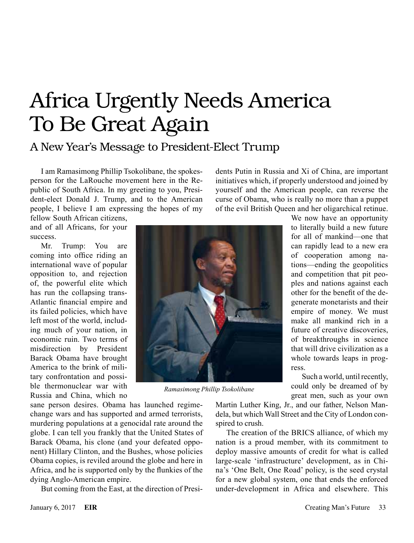## Africa Urgently Needs America To Be Great Again

## A New Year's Message to President-Elect Trump

I am Ramasimong Phillip Tsokolibane, the spokesperson for the LaRouche movement here in the Republic of South Africa. In my greeting to you, President-elect Donald J. Trump, and to the American people, I believe I am expressing the hopes of my fellow South African citizens,

and of all Africans, for your success.

Mr. Trump: You are coming into office riding an international wave of popular opposition to, and rejection of, the powerful elite which has run the collapsing trans-Atlantic financial empire and its failed policies, which have left most of the world, including much of your nation, in economic ruin. Two terms of misdirection by President Barack Obama have brought America to the brink of military confrontation and possible thermonuclear war with Russia and China, which no

*Ramasimong Phillip Tsokolibane*

sane person desires. Obama has launched regimechange wars and has supported and armed terrorists, murdering populations at a genocidal rate around the globe. I can tell you frankly that the United States of Barack Obama, his clone (and your defeated opponent) Hillary Clinton, and the Bushes, whose policies Obama copies, is reviled around the globe and here in Africa, and he is supported only by the flunkies of the dying Anglo-American empire.

But coming from the East, at the direction of Presi-

dents Putin in Russia and Xi of China, are important initiatives which, if properly understood and joined by yourself and the American people, can reverse the curse of Obama, who is really no more than a puppet of the evil British Queen and her oligarchical retinue.

to literally build a new future for all of mankind—one that can rapidly lead to a new era of cooperation among nations—ending the geopolitics and competition that pit peoples and nations against each other for the benefit of the degenerate monetarists and their empire of money. We must make all mankind rich in a future of creative discoveries, of breakthroughs in science that will drive civilization as a whole towards leaps in progress.

Such a world, until recently, could only be dreamed of by great men, such as your own

We now have an opportunity

Martin Luther King, Jr., and our father, Nelson Mandela, but which Wall Street and the City of London conspired to crush.

The creation of the BRICS alliance, of which my nation is a proud member, with its commitment to deploy massive amounts of credit for what is called large-scale 'infrastructure' development, as in China's 'One Belt, One Road' policy, is the seed crystal for a new global system, one that ends the enforced under-development in Africa and elsewhere. This